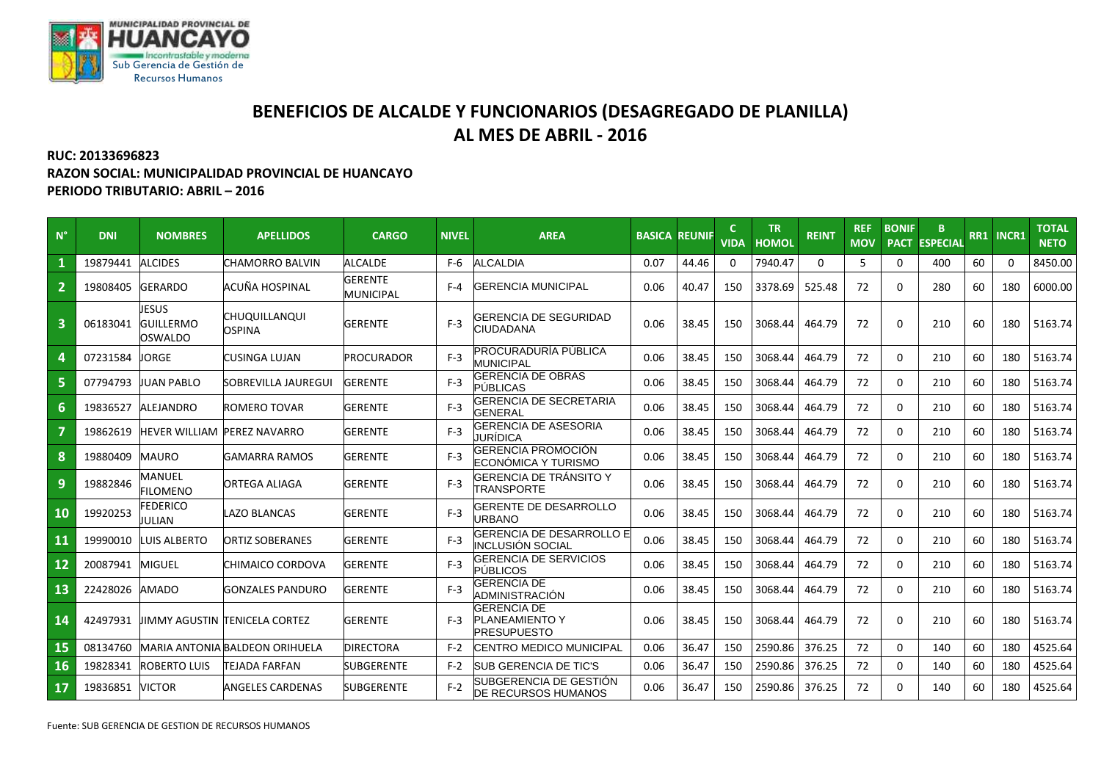

## **BENEFICIOS DE ALCALDE Y FUNCIONARIOS (DESAGREGADO DE PLANILLA) AL MES DE ABRIL - 2016**

## **RUC: 20133696823**

**RAZON SOCIAL: MUNICIPALIDAD PROVINCIAL DE HUANCAYO PERIODO TRIBUTARIO: ABRIL – 2016**

| $N^{\circ}$             | <b>DNI</b> | <b>NOMBRES</b>                       | <b>APELLIDOS</b>               | <b>CARGO</b>                       | <b>NIVEL</b> | <b>AREA</b>                                                       | <b>BASICA</b> | <b>REUNIF</b> | <b>VIDA</b> | <b>TR</b><br><b>HOMOL</b> | <b>REINT</b> | <b>REF</b><br><b>MOV</b> | <b>BONIF</b><br><b>PACT</b> | B.<br><b>ESPECIAL</b> |    | RR1 INCR1 | <b>TOTAL</b><br><b>NETO</b> |
|-------------------------|------------|--------------------------------------|--------------------------------|------------------------------------|--------------|-------------------------------------------------------------------|---------------|---------------|-------------|---------------------------|--------------|--------------------------|-----------------------------|-----------------------|----|-----------|-----------------------------|
|                         | 19879441   | <b>ALCIDES</b>                       | CHAMORRO BALVIN                | <b>ALCALDE</b>                     | $F-6$        | <b>ALCALDIA</b>                                                   | 0.07          | 44.46         |             | 7940.47                   | $\Omega$     | 5.                       | $\Omega$                    | 400                   | 60 | $\Omega$  | 8450.00                     |
| $\overline{2}$          | 19808405   | <b>GERARDO</b>                       | ACUÑA HOSPINAL                 | <b>GERENTE</b><br><b>MUNICIPAL</b> | $F - 4$      | <b>GERENCIA MUNICIPAL</b>                                         | 0.06          | 40.47         | 150         | 3378.69                   | 525.48       | 72                       | 0                           | 280                   | 60 | 180       | 6000.00                     |
| $\overline{\mathbf{3}}$ | 06183041   | JESUS<br><b>GUILLERMO</b><br>OSWALDO | CHUQUILLANQUI<br><b>OSPINA</b> | <b>GERENTE</b>                     | $F-3$        | <b>GERENCIA DE SEGURIDAD</b><br><b>CIUDADANA</b>                  | 0.06          | 38.45         | 150         | 3068.44                   | 464.79       | 72                       | $\Omega$                    | 210                   | 60 | 180       | 5163.74                     |
| 4                       | 07231584   | <b>JORGE</b>                         | CUSINGA LUJAN                  | <b>PROCURADOR</b>                  | $F-3$        | <b>PROCURADURÍA PÚBLICA</b><br><b>MUNICIPAL</b>                   | 0.06          | 38.45         | 150         | 3068.44                   | 464.79       | 72                       | $\Omega$                    | 210                   | 60 | 180       | 5163.74                     |
| 5                       | 07794793   | <b>JUAN PABLO</b>                    | SOBREVILLA JAUREGUI            | <b>GERENTE</b>                     | $F-3$        | <b>GERENCIA DE OBRAS</b><br><b>PÚBLICAS</b>                       | 0.06          | 38.45         | 150         | 3068.44                   | 464.79       | 72                       | $\Omega$                    | 210                   | 60 | 180       | 5163.74                     |
| 6                       | 19836527   | <b>ALEJANDRO</b>                     | ROMERO TOVAR                   | <b>GERENTE</b>                     | $F-3$        | <b>GERENCIA DE SECRETARIA</b><br><b>GENERAL</b>                   | 0.06          | 38.45         | 150         | 3068.44                   | 464.79       | 72                       | $\Omega$                    | 210                   | 60 | 180       | 5163.74                     |
|                         | 19862619   | <b>HEVER WILLIAM PEREZ NAVARRO</b>   |                                | <b>GERENTE</b>                     | $F-3$        | GERENCIA DE ASESORIA<br>JURÍDICA                                  | 0.06          | 38.45         | 150         | 3068.44                   | 464.79       | 72                       | 0                           | 210                   | 60 | 180       | 5163.74                     |
| 8                       | 19880409   | <b>MAURO</b>                         | GAMARRA RAMOS                  | <b>GERENTE</b>                     | $F-3$        | <b>GERENCIA PROMOCIÓN</b><br>ECONÓMICA Y TURISMO                  | 0.06          | 38.45         | 150         | 3068.44                   | 464.79       | 72                       | $\Omega$                    | 210                   | 60 | 180       | 5163.74                     |
| 9                       | 19882846   | MANUEL<br>FILOMENO                   | ORTEGA ALIAGA                  | <b>GERENTE</b>                     | $F-3$        | GERENCIA DE TRANSITO Y<br><b>TRANSPORTE</b>                       | 0.06          | 38.45         | 150         | 3068.44                   | 464.79       | 72                       | $\Omega$                    | 210                   | 60 | 180       | 5163.74                     |
| 10                      | 19920253   | <b>EDERICO</b><br>JULIAN             | <b>AZO BLANCAS</b>             | <b>GERENTE</b>                     | $F-3$        | GERENTE DE DESARROLLO<br><b>JRBANO</b>                            | 0.06          | 38.45         | 150         | 3068.44                   | 464.79       | 72                       | 0                           | 210                   | 60 | 180       | 5163.74                     |
| 11                      | 19990010   | <b>LUIS ALBERTO</b>                  | <b>ORTIZ SOBERANES</b>         | <b>GERENTE</b>                     | $F-3$        | GERENCIA DE DESARROLLO E<br>INCLUSIÓN SOCIAL                      | 0.06          | 38.45         | 150         | 3068.44                   | 464.79       | 72                       | $\Omega$                    | 210                   | 60 | 180       | 5163.74                     |
| 12                      | 20087941   | <b>MIGUEL</b>                        | CHIMAICO CORDOVA               | <b>GERENTE</b>                     | $F-3$        | GERENCIA DE SERVICIOS<br>PÚBLICOS                                 | 0.06          | 38.45         | 150         | 3068.44                   | 464.79       | 72                       | $\Omega$                    | 210                   | 60 | 180       | 5163.74                     |
| 13                      | 22428026   | <b>AMADO</b>                         | <b>GONZALES PANDURO</b>        | <b>GERENTE</b>                     | $F-3$        | <b>GERENCIA DE</b><br>ADMINISTRACIÓN                              | 0.06          | 38.45         | 150         | 3068.44                   | 464.79       | 72                       | $\Omega$                    | 210                   | 60 | 180       | 5163.74                     |
| 14                      | 42497931   |                                      | JIMMY AGUSTIN İTENICELA CORTEZ | <b>GERENTE</b>                     | $F-3$        | <b>GERENCIA DE</b><br><b>PLANEAMIENTO Y</b><br><b>PRESUPUESTO</b> | 0.06          | 38.45         | 150         | 3068.44                   | 464.79       | 72                       | 0                           | 210                   | 60 | 180       | 5163.74                     |
| 15                      | 08134760   |                                      | MARIA ANTONIA BALDEON ORIHUELA | <b>DIRECTORA</b>                   | $F-2$        | CENTRO MEDICO MUNICIPAL                                           | 0.06          | 36.47         | 150         | 2590.86                   | 376.25       | 72                       | $\Omega$                    | 140                   | 60 | 180       | 4525.64                     |
| 16                      | 19828341   | <b>ROBERTO LUIS</b>                  | TEJADA FARFAN                  | <b>SUBGERENTE</b>                  | $F-2$        | <b>SUB GERENCIA DE TIC'S</b>                                      | 0.06          | 36.47         | 150         | 2590.86                   | 376.25       | 72                       | $\mathbf{0}$                | 140                   | 60 | 180       | 4525.64                     |
| 17                      | 19836851   | <b>VICTOR</b>                        | <b>ANGELES CARDENAS</b>        | <b>SUBGERENTE</b>                  | $F-2$        | SUBGERENCIA DE GESTIÓN<br><b>DE RECURSOS HUMANOS</b>              | 0.06          | 36.47         | 150         | 2590.86                   | 376.25       | 72                       | $\Omega$                    | 140                   | 60 | 180       | 4525.64                     |